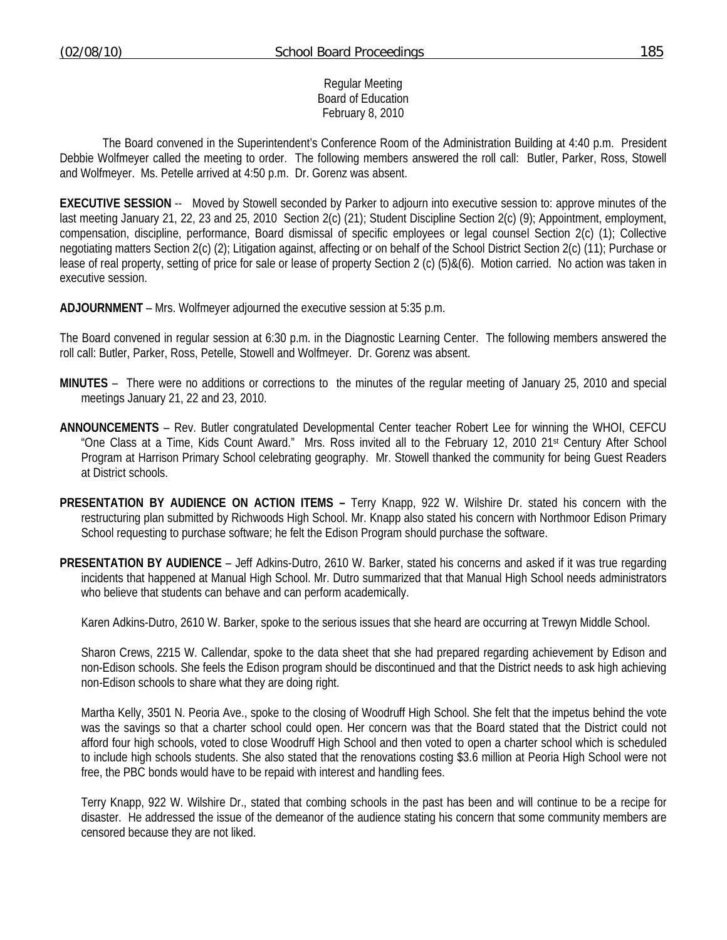#### Regular Meeting Board of Education February 8, 2010

 The Board convened in the Superintendent's Conference Room of the Administration Building at 4:40 p.m. President Debbie Wolfmeyer called the meeting to order. The following members answered the roll call: Butler, Parker, Ross, Stowell and Wolfmeyer. Ms. Petelle arrived at 4:50 p.m. Dr. Gorenz was absent.

**EXECUTIVE SESSION** -- Moved by Stowell seconded by Parker to adjourn into executive session to: approve minutes of the last meeting January 21, 22, 23 and 25, 2010 Section 2(c) (21); Student Discipline Section 2(c) (9); Appointment, employment, compensation, discipline, performance, Board dismissal of specific employees or legal counsel Section 2(c) (1); Collective negotiating matters Section 2(c) (2); Litigation against, affecting or on behalf of the School District Section 2(c) (11); Purchase or lease of real property, setting of price for sale or lease of property Section 2 (c) (5)&(6). Motion carried. No action was taken in executive session.

**ADJOURNMENT** – Mrs. Wolfmeyer adjourned the executive session at 5:35 p.m.

The Board convened in regular session at 6:30 p.m. in the Diagnostic Learning Center. The following members answered the roll call: Butler, Parker, Ross, Petelle, Stowell and Wolfmeyer. Dr. Gorenz was absent.

- **MINUTES** There were no additions or corrections to the minutes of the regular meeting of January 25, 2010 and special meetings January 21, 22 and 23, 2010.
- **ANNOUNCEMENTS** Rev. Butler congratulated Developmental Center teacher Robert Lee for winning the WHOI, CEFCU "One Class at a Time, Kids Count Award." Mrs. Ross invited all to the February 12, 2010 21st Century After School Program at Harrison Primary School celebrating geography. Mr. Stowell thanked the community for being Guest Readers at District schools.
- **PRESENTATION BY AUDIENCE ON ACTION ITEMS** Terry Knapp, 922 W. Wilshire Dr. stated his concern with the restructuring plan submitted by Richwoods High School. Mr. Knapp also stated his concern with Northmoor Edison Primary School requesting to purchase software; he felt the Edison Program should purchase the software.
- **PRESENTATION BY AUDIENCE** Jeff Adkins-Dutro, 2610 W. Barker, stated his concerns and asked if it was true regarding incidents that happened at Manual High School. Mr. Dutro summarized that that Manual High School needs administrators who believe that students can behave and can perform academically.

Karen Adkins-Dutro, 2610 W. Barker, spoke to the serious issues that she heard are occurring at Trewyn Middle School.

 Sharon Crews, 2215 W. Callendar, spoke to the data sheet that she had prepared regarding achievement by Edison and non-Edison schools. She feels the Edison program should be discontinued and that the District needs to ask high achieving non-Edison schools to share what they are doing right.

 Martha Kelly, 3501 N. Peoria Ave., spoke to the closing of Woodruff High School. She felt that the impetus behind the vote was the savings so that a charter school could open. Her concern was that the Board stated that the District could not afford four high schools, voted to close Woodruff High School and then voted to open a charter school which is scheduled to include high schools students. She also stated that the renovations costing \$3.6 million at Peoria High School were not free, the PBC bonds would have to be repaid with interest and handling fees.

 Terry Knapp, 922 W. Wilshire Dr., stated that combing schools in the past has been and will continue to be a recipe for disaster. He addressed the issue of the demeanor of the audience stating his concern that some community members are censored because they are not liked.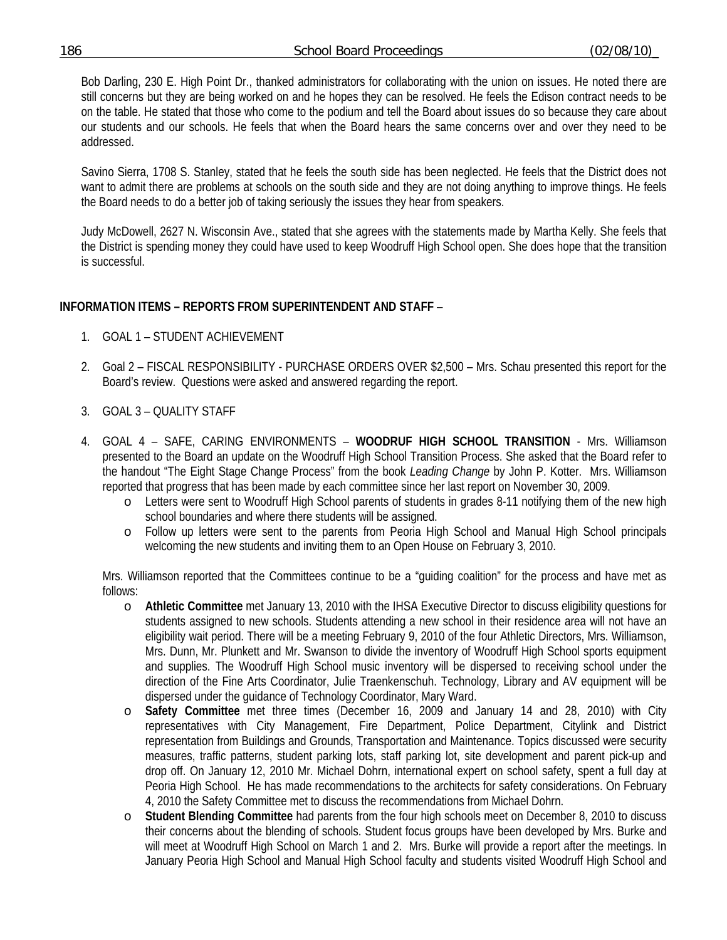### 186 School Board Proceedings (02/08/10)\_

Bob Darling, 230 E. High Point Dr., thanked administrators for collaborating with the union on issues. He noted there are still concerns but they are being worked on and he hopes they can be resolved. He feels the Edison contract needs to be on the table. He stated that those who come to the podium and tell the Board about issues do so because they care about our students and our schools. He feels that when the Board hears the same concerns over and over they need to be addressed.

Savino Sierra, 1708 S. Stanley, stated that he feels the south side has been neglected. He feels that the District does not want to admit there are problems at schools on the south side and they are not doing anything to improve things. He feels the Board needs to do a better job of taking seriously the issues they hear from speakers.

Judy McDowell, 2627 N. Wisconsin Ave., stated that she agrees with the statements made by Martha Kelly. She feels that the District is spending money they could have used to keep Woodruff High School open. She does hope that the transition is successful.

## **INFORMATION ITEMS – REPORTS FROM SUPERINTENDENT AND STAFF** –

- 1. GOAL 1 STUDENT ACHIEVEMENT
- 2. Goal 2 FISCAL RESPONSIBILITY PURCHASE ORDERS OVER \$2,500 Mrs. Schau presented this report for the Board's review. Questions were asked and answered regarding the report.
- 3. GOAL 3 QUALITY STAFF
- 4. GOAL 4 SAFE, CARING ENVIRONMENTS **WOODRUF HIGH SCHOOL TRANSITION** Mrs. Williamson presented to the Board an update on the Woodruff High School Transition Process. She asked that the Board refer to the handout "The Eight Stage Change Process" from the book *Leading Change* by John P. Kotter. Mrs. Williamson reported that progress that has been made by each committee since her last report on November 30, 2009.
	- o Letters were sent to Woodruff High School parents of students in grades 8-11 notifying them of the new high school boundaries and where there students will be assigned.
	- o Follow up letters were sent to the parents from Peoria High School and Manual High School principals welcoming the new students and inviting them to an Open House on February 3, 2010.

Mrs. Williamson reported that the Committees continue to be a "guiding coalition" for the process and have met as follows:

- o **Athletic Committee** met January 13, 2010 with the IHSA Executive Director to discuss eligibility questions for students assigned to new schools. Students attending a new school in their residence area will not have an eligibility wait period. There will be a meeting February 9, 2010 of the four Athletic Directors, Mrs. Williamson, Mrs. Dunn, Mr. Plunkett and Mr. Swanson to divide the inventory of Woodruff High School sports equipment and supplies. The Woodruff High School music inventory will be dispersed to receiving school under the direction of the Fine Arts Coordinator, Julie Traenkenschuh. Technology, Library and AV equipment will be dispersed under the guidance of Technology Coordinator, Mary Ward.
- o **Safety Committee** met three times (December 16, 2009 and January 14 and 28, 2010) with City representatives with City Management, Fire Department, Police Department, Citylink and District representation from Buildings and Grounds, Transportation and Maintenance. Topics discussed were security measures, traffic patterns, student parking lots, staff parking lot, site development and parent pick-up and drop off. On January 12, 2010 Mr. Michael Dohrn, international expert on school safety, spent a full day at Peoria High School. He has made recommendations to the architects for safety considerations. On February 4, 2010 the Safety Committee met to discuss the recommendations from Michael Dohrn.
- Student Blending Committee had parents from the four high schools meet on December 8, 2010 to discuss their concerns about the blending of schools. Student focus groups have been developed by Mrs. Burke and will meet at Woodruff High School on March 1 and 2. Mrs. Burke will provide a report after the meetings. In January Peoria High School and Manual High School faculty and students visited Woodruff High School and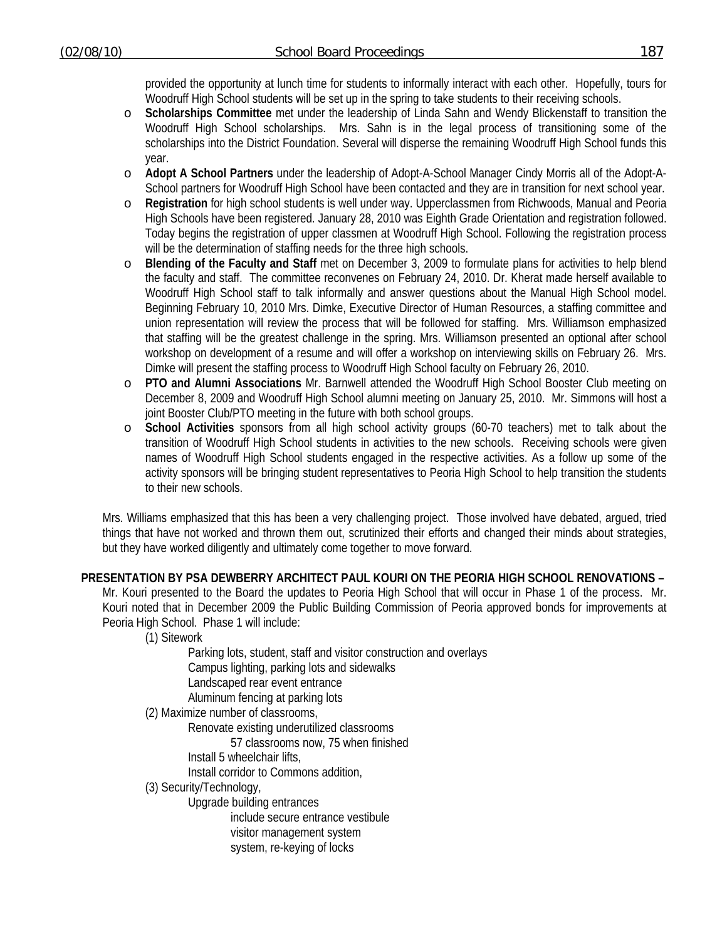provided the opportunity at lunch time for students to informally interact with each other. Hopefully, tours for Woodruff High School students will be set up in the spring to take students to their receiving schools.

- o **Scholarships Committee** met under the leadership of Linda Sahn and Wendy Blickenstaff to transition the Woodruff High School scholarships. Mrs. Sahn is in the legal process of transitioning some of the scholarships into the District Foundation. Several will disperse the remaining Woodruff High School funds this year.
- o **Adopt A School Partners** under the leadership of Adopt-A-School Manager Cindy Morris all of the Adopt-A-School partners for Woodruff High School have been contacted and they are in transition for next school year.
- o **Registration** for high school students is well under way. Upperclassmen from Richwoods, Manual and Peoria High Schools have been registered. January 28, 2010 was Eighth Grade Orientation and registration followed. Today begins the registration of upper classmen at Woodruff High School. Following the registration process will be the determination of staffing needs for the three high schools.
- o **Blending of the Faculty and Staff** met on December 3, 2009 to formulate plans for activities to help blend the faculty and staff. The committee reconvenes on February 24, 2010. Dr. Kherat made herself available to Woodruff High School staff to talk informally and answer questions about the Manual High School model. Beginning February 10, 2010 Mrs. Dimke, Executive Director of Human Resources, a staffing committee and union representation will review the process that will be followed for staffing. Mrs. Williamson emphasized that staffing will be the greatest challenge in the spring. Mrs. Williamson presented an optional after school workshop on development of a resume and will offer a workshop on interviewing skills on February 26. Mrs. Dimke will present the staffing process to Woodruff High School faculty on February 26, 2010.
- o **PTO and Alumni Associations** Mr. Barnwell attended the Woodruff High School Booster Club meeting on December 8, 2009 and Woodruff High School alumni meeting on January 25, 2010. Mr. Simmons will host a joint Booster Club/PTO meeting in the future with both school groups.
- School Activities sponsors from all high school activity groups (60-70 teachers) met to talk about the transition of Woodruff High School students in activities to the new schools. Receiving schools were given names of Woodruff High School students engaged in the respective activities. As a follow up some of the activity sponsors will be bringing student representatives to Peoria High School to help transition the students to their new schools.

Mrs. Williams emphasized that this has been a very challenging project. Those involved have debated, argued, tried things that have not worked and thrown them out, scrutinized their efforts and changed their minds about strategies, but they have worked diligently and ultimately come together to move forward.

# **PRESENTATION BY PSA DEWBERRY ARCHITECT PAUL KOURI ON THE PEORIA HIGH SCHOOL RENOVATIONS –**

 Mr. Kouri presented to the Board the updates to Peoria High School that will occur in Phase 1 of the process. Mr. Kouri noted that in December 2009 the Public Building Commission of Peoria approved bonds for improvements at Peoria High School. Phase 1 will include:

(1) Sitework

Parking lots, student, staff and visitor construction and overlays Campus lighting, parking lots and sidewalks Landscaped rear event entrance Aluminum fencing at parking lots

(2) Maximize number of classrooms,

Renovate existing underutilized classrooms

57 classrooms now, 75 when finished

Install 5 wheelchair lifts,

Install corridor to Commons addition,

(3) Security/Technology,

Upgrade building entrances

include secure entrance vestibule visitor management system system, re-keying of locks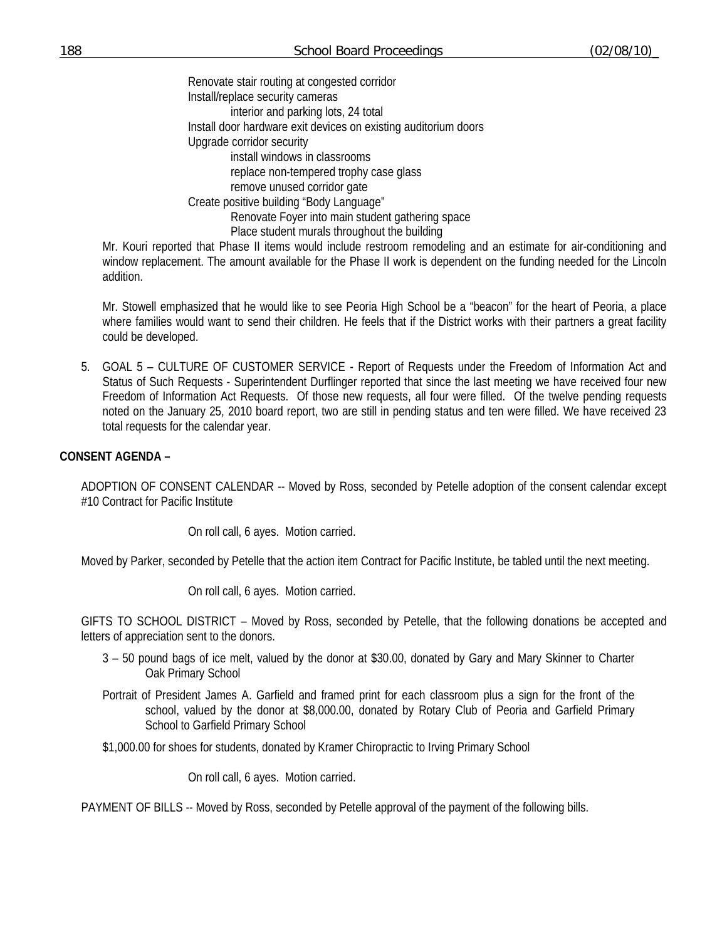Renovate stair routing at congested corridor Install/replace security cameras interior and parking lots, 24 total Install door hardware exit devices on existing auditorium doors Upgrade corridor security install windows in classrooms replace non-tempered trophy case glass remove unused corridor gate Create positive building "Body Language" Renovate Foyer into main student gathering space Place student murals throughout the building

Mr. Kouri reported that Phase II items would include restroom remodeling and an estimate for air-conditioning and window replacement. The amount available for the Phase II work is dependent on the funding needed for the Lincoln addition.

Mr. Stowell emphasized that he would like to see Peoria High School be a "beacon" for the heart of Peoria, a place where families would want to send their children. He feels that if the District works with their partners a great facility could be developed.

5. GOAL 5 – CULTURE OF CUSTOMER SERVICE - Report of Requests under the Freedom of Information Act and Status of Such Requests - Superintendent Durflinger reported that since the last meeting we have received four new Freedom of Information Act Requests. Of those new requests, all four were filled. Of the twelve pending requests noted on the January 25, 2010 board report, two are still in pending status and ten were filled. We have received 23 total requests for the calendar year.

### **CONSENT AGENDA –**

ADOPTION OF CONSENT CALENDAR -- Moved by Ross, seconded by Petelle adoption of the consent calendar except #10 Contract for Pacific Institute

On roll call, 6 ayes. Motion carried.

Moved by Parker, seconded by Petelle that the action item Contract for Pacific Institute, be tabled until the next meeting.

On roll call, 6 ayes. Motion carried.

GIFTS TO SCHOOL DISTRICT – Moved by Ross, seconded by Petelle, that the following donations be accepted and letters of appreciation sent to the donors.

- 3 50 pound bags of ice melt, valued by the donor at \$30.00, donated by Gary and Mary Skinner to Charter Oak Primary School
- Portrait of President James A. Garfield and framed print for each classroom plus a sign for the front of the school, valued by the donor at \$8,000.00, donated by Rotary Club of Peoria and Garfield Primary School to Garfield Primary School
- \$1,000.00 for shoes for students, donated by Kramer Chiropractic to Irving Primary School

On roll call, 6 ayes. Motion carried.

PAYMENT OF BILLS -- Moved by Ross, seconded by Petelle approval of the payment of the following bills.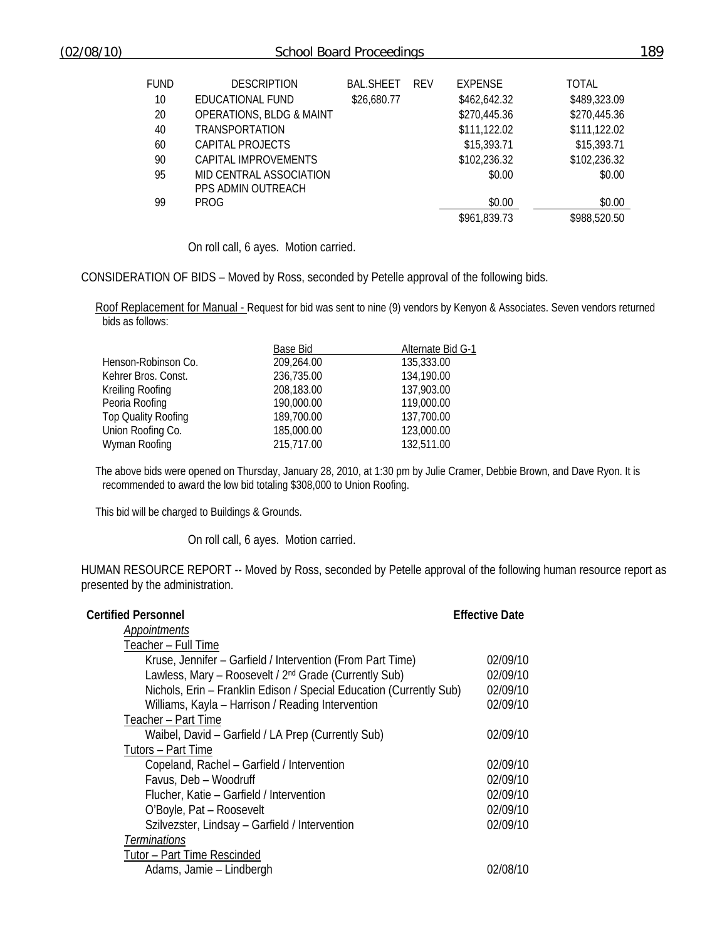### (02/08/10) School Board Proceedings 189

| FUND | <b>DESCRIPTION</b>                  | <b>BAL.SHEET</b> | REV | <b>EXPENSE</b> | TOTAL        |
|------|-------------------------------------|------------------|-----|----------------|--------------|
| 10   | EDUCATIONAL FUND                    | \$26,680.77      |     | \$462,642.32   | \$489,323.09 |
| 20   | <b>OPERATIONS, BLDG &amp; MAINT</b> |                  |     | \$270,445.36   | \$270,445.36 |
| 40   | TRANSPORTATION                      |                  |     | \$111,122.02   | \$111,122.02 |
| 60   | CAPITAL PROJECTS                    |                  |     | \$15,393.71    | \$15,393.71  |
| 90   | CAPITAL IMPROVEMENTS                |                  |     | \$102,236.32   | \$102,236.32 |
| 95   | MID CENTRAL ASSOCIATION             |                  |     | \$0.00         | \$0.00       |
|      | PPS ADMIN OUTREACH                  |                  |     |                |              |
| 99   | PROG                                |                  |     | \$0.00         | \$0.00       |
|      |                                     |                  |     | \$961,839.73   | \$988,520.50 |
|      |                                     |                  |     |                |              |

On roll call, 6 ayes. Motion carried.

CONSIDERATION OF BIDS – Moved by Ross, seconded by Petelle approval of the following bids.

Roof Replacement for Manual - Request for bid was sent to nine (9) vendors by Kenyon & Associates. Seven vendors returned bids as follows:

|                            | Base Bid   | Alternate Bid G-1 |
|----------------------------|------------|-------------------|
| Henson-Robinson Co.        | 209,264.00 | 135,333.00        |
| Kehrer Bros. Const.        | 236,735.00 | 134,190.00        |
| Kreiling Roofing           | 208,183.00 | 137,903.00        |
| Peoria Roofing             | 190,000.00 | 119,000.00        |
| <b>Top Quality Roofing</b> | 189,700.00 | 137,700.00        |
| Union Roofing Co.          | 185,000.00 | 123,000.00        |
| Wyman Roofing              | 215,717.00 | 132,511.00        |

The above bids were opened on Thursday, January 28, 2010, at 1:30 pm by Julie Cramer, Debbie Brown, and Dave Ryon. It is recommended to award the low bid totaling \$308,000 to Union Roofing.

This bid will be charged to Buildings & Grounds.

On roll call, 6 ayes. Motion carried.

HUMAN RESOURCE REPORT -- Moved by Ross, seconded by Petelle approval of the following human resource report as presented by the administration.

| <b>Certified Personnel</b>                                          | <b>Effective Date</b> |  |
|---------------------------------------------------------------------|-----------------------|--|
| Appointments                                                        |                       |  |
| Teacher - Full Time                                                 |                       |  |
| Kruse, Jennifer – Garfield / Intervention (From Part Time)          | 02/09/10              |  |
| Lawless, Mary - Roosevelt / 2 <sup>nd</sup> Grade (Currently Sub)   | 02/09/10              |  |
| Nichols, Erin - Franklin Edison / Special Education (Currently Sub) | 02/09/10              |  |
| Williams, Kayla - Harrison / Reading Intervention                   | 02/09/10              |  |
| Teacher - Part Time                                                 |                       |  |
| Waibel, David - Garfield / LA Prep (Currently Sub)                  | 02/09/10              |  |
| Tutors - Part Time                                                  |                       |  |
| Copeland, Rachel - Garfield / Intervention                          | 02/09/10              |  |
| Favus, Deb - Woodruff                                               | 02/09/10              |  |
| Flucher, Katie - Garfield / Intervention                            | 02/09/10              |  |
| O'Boyle, Pat - Roosevelt                                            | 02/09/10              |  |
| Szilvezster, Lindsay – Garfield / Intervention                      | 02/09/10              |  |
| <b>Terminations</b>                                                 |                       |  |
| Tutor - Part Time Rescinded                                         |                       |  |
| Adams, Jamie – Lindbergh                                            | 02/08/10              |  |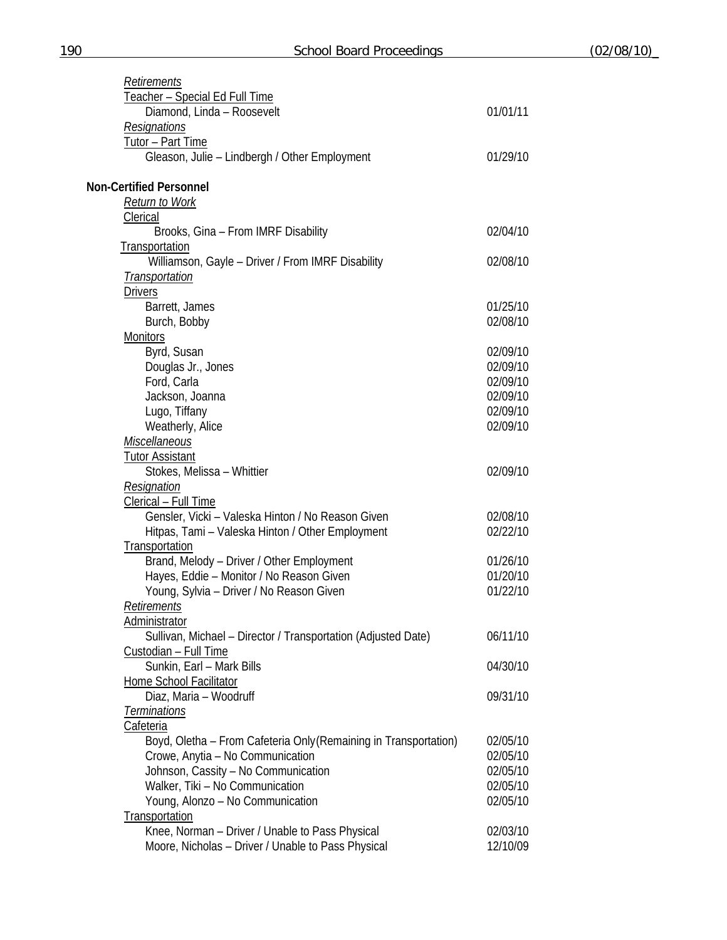| Retirements                                                             |                      |
|-------------------------------------------------------------------------|----------------------|
| Teacher - Special Ed Full Time                                          |                      |
| Diamond, Linda - Roosevelt                                              | 01/01/11             |
| Resignations                                                            |                      |
| Tutor - Part Time                                                       |                      |
| Gleason, Julie - Lindbergh / Other Employment                           | 01/29/10             |
| <b>Non-Certified Personnel</b>                                          |                      |
| <u>Return to Work</u>                                                   |                      |
| Clerical                                                                |                      |
| Brooks, Gina - From IMRF Disability                                     | 02/04/10             |
| Transportation                                                          |                      |
| Williamson, Gayle - Driver / From IMRF Disability                       | 02/08/10             |
| <b>Transportation</b>                                                   |                      |
| <b>Drivers</b>                                                          |                      |
| Barrett, James                                                          | 01/25/10<br>02/08/10 |
| Burch, Bobby<br>Monitors                                                |                      |
| Byrd, Susan                                                             | 02/09/10             |
| Douglas Jr., Jones                                                      | 02/09/10             |
| Ford, Carla                                                             | 02/09/10             |
| Jackson, Joanna                                                         | 02/09/10             |
| Lugo, Tiffany                                                           | 02/09/10             |
| Weatherly, Alice                                                        | 02/09/10             |
| Miscellaneous                                                           |                      |
| <b>Tutor Assistant</b>                                                  |                      |
| Stokes, Melissa - Whittier                                              | 02/09/10             |
| Resignation                                                             |                      |
| Clerical - Full Time                                                    |                      |
| Gensler, Vicki - Valeska Hinton / No Reason Given                       | 02/08/10             |
| Hitpas, Tami - Valeska Hinton / Other Employment                        | 02/22/10             |
| Transportation                                                          |                      |
| Brand, Melody - Driver / Other Employment                               | 01/26/10             |
| Hayes, Eddie - Monitor / No Reason Given                                | 01/20/10             |
| Young, Sylvia - Driver / No Reason Given                                | 01/22/10             |
| <b>Retirements</b>                                                      |                      |
| Administrator                                                           |                      |
| Sullivan, Michael - Director / Transportation (Adjusted Date)           | 06/11/10             |
| Custodian - Full Time                                                   |                      |
| Sunkin, Earl - Mark Bills                                               | 04/30/10             |
| Home School Facilitator                                                 |                      |
| Diaz, Maria - Woodruff                                                  | 09/31/10             |
| <b>Terminations</b>                                                     |                      |
| <b>Cafeteria</b>                                                        |                      |
| Boyd, Oletha - From Cafeteria Only (Remaining in Transportation)        | 02/05/10<br>02/05/10 |
| Crowe, Anytia - No Communication<br>Johnson, Cassity - No Communication | 02/05/10             |
| Walker, Tiki - No Communication                                         | 02/05/10             |
| Young, Alonzo - No Communication                                        | 02/05/10             |
| Transportation                                                          |                      |
| Knee, Norman - Driver / Unable to Pass Physical                         | 02/03/10             |
| Moore, Nicholas - Driver / Unable to Pass Physical                      | 12/10/09             |
|                                                                         |                      |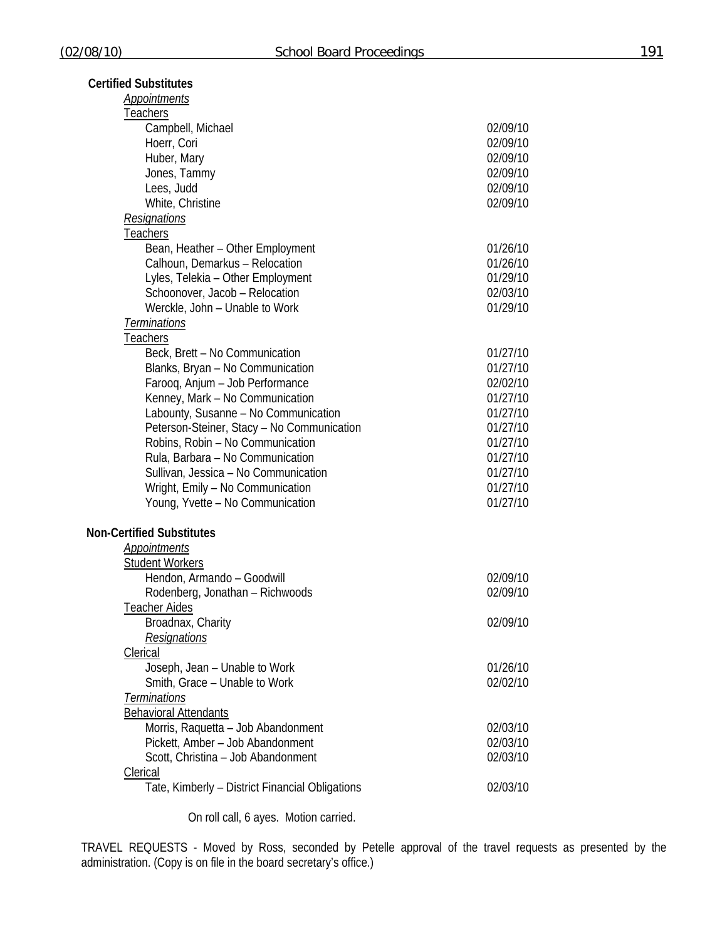| ×, |  |  |
|----|--|--|
|----|--|--|

| <b>Certified Substitutes</b>                                           |          |
|------------------------------------------------------------------------|----------|
| Appointments                                                           |          |
| <b>Teachers</b>                                                        |          |
| Campbell, Michael                                                      | 02/09/10 |
| Hoerr, Cori                                                            | 02/09/10 |
| Huber, Mary                                                            | 02/09/10 |
| Jones, Tammy                                                           | 02/09/10 |
| Lees, Judd                                                             | 02/09/10 |
| White, Christine                                                       | 02/09/10 |
| Resignations                                                           |          |
| <b>Teachers</b>                                                        |          |
| Bean, Heather - Other Employment                                       | 01/26/10 |
| Calhoun, Demarkus - Relocation                                         | 01/26/10 |
| Lyles, Telekia - Other Employment                                      | 01/29/10 |
| Schoonover, Jacob - Relocation                                         | 02/03/10 |
| Werckle, John - Unable to Work                                         | 01/29/10 |
| <b>Terminations</b>                                                    |          |
| <b>Teachers</b>                                                        |          |
| Beck, Brett - No Communication                                         | 01/27/10 |
| Blanks, Bryan - No Communication                                       | 01/27/10 |
| Farooq, Anjum - Job Performance                                        | 02/02/10 |
| Kenney, Mark - No Communication                                        | 01/27/10 |
| Labounty, Susanne - No Communication                                   | 01/27/10 |
| Peterson-Steiner, Stacy - No Communication                             | 01/27/10 |
| Robins, Robin - No Communication                                       | 01/27/10 |
| Rula, Barbara - No Communication                                       | 01/27/10 |
| Sullivan, Jessica - No Communication                                   | 01/27/10 |
| Wright, Emily - No Communication                                       | 01/27/10 |
| Young, Yvette - No Communication                                       | 01/27/10 |
|                                                                        |          |
| <b>Non-Certified Substitutes</b>                                       |          |
| <u>Appointments</u>                                                    |          |
| <b>Student Workers</b>                                                 |          |
| Hendon, Armando - Goodwill                                             | 02/09/10 |
| Rodenberg, Jonathan - Richwoods                                        | 02/09/10 |
| Teacher Aides                                                          |          |
| Broadnax, Charity                                                      | 02/09/10 |
| <b>Resignations</b>                                                    |          |
| Clerical                                                               |          |
| Joseph, Jean - Unable to Work                                          | 01/26/10 |
| Smith, Grace - Unable to Work                                          | 02/02/10 |
| <b>Terminations</b>                                                    |          |
| <b>Behavioral Attendants</b>                                           |          |
|                                                                        | 02/03/10 |
| Morris, Raquetta - Job Abandonment<br>Pickett, Amber - Job Abandonment | 02/03/10 |
| Scott, Christina - Job Abandonment                                     | 02/03/10 |
|                                                                        |          |
| <b>Clerical</b>                                                        |          |
| Tate, Kimberly - District Financial Obligations                        | 02/03/10 |

On roll call, 6 ayes. Motion carried.

TRAVEL REQUESTS - Moved by Ross, seconded by Petelle approval of the travel requests as presented by the administration. (Copy is on file in the board secretary's office.)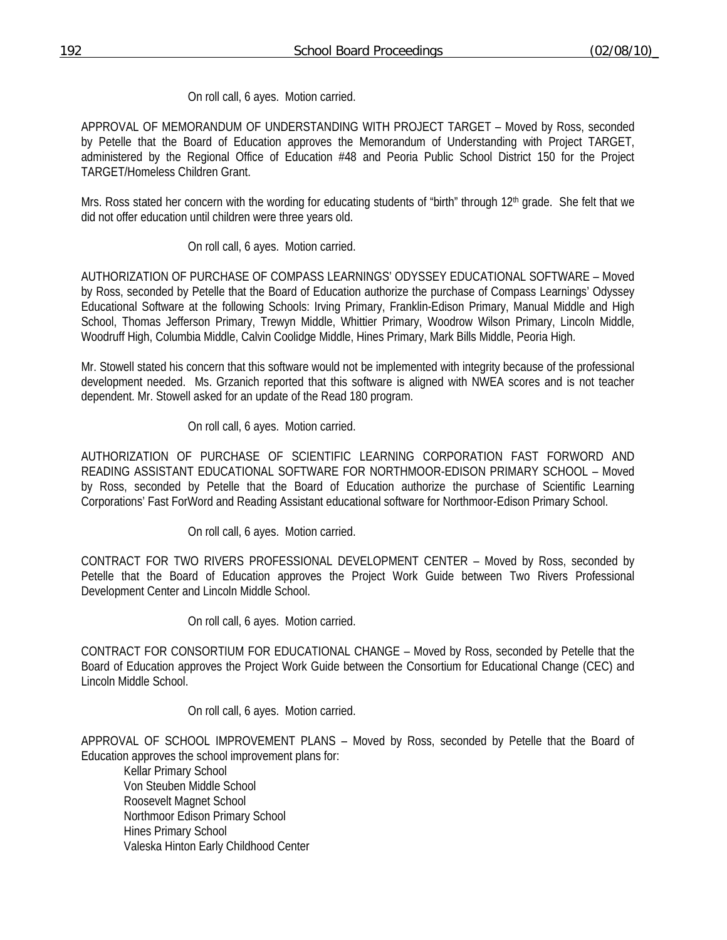On roll call, 6 ayes. Motion carried.

APPROVAL OF MEMORANDUM OF UNDERSTANDING WITH PROJECT TARGET – Moved by Ross, seconded by Petelle that the Board of Education approves the Memorandum of Understanding with Project TARGET, administered by the Regional Office of Education #48 and Peoria Public School District 150 for the Project TARGET/Homeless Children Grant.

Mrs. Ross stated her concern with the wording for educating students of "birth" through 12th grade. She felt that we did not offer education until children were three years old.

On roll call, 6 ayes. Motion carried.

AUTHORIZATION OF PURCHASE OF COMPASS LEARNINGS' ODYSSEY EDUCATIONAL SOFTWARE – Moved by Ross, seconded by Petelle that the Board of Education authorize the purchase of Compass Learnings' Odyssey Educational Software at the following Schools: Irving Primary, Franklin-Edison Primary, Manual Middle and High School, Thomas Jefferson Primary, Trewyn Middle, Whittier Primary, Woodrow Wilson Primary, Lincoln Middle, Woodruff High, Columbia Middle, Calvin Coolidge Middle, Hines Primary, Mark Bills Middle, Peoria High.

Mr. Stowell stated his concern that this software would not be implemented with integrity because of the professional development needed. Ms. Grzanich reported that this software is aligned with NWEA scores and is not teacher dependent. Mr. Stowell asked for an update of the Read 180 program.

On roll call, 6 ayes. Motion carried.

AUTHORIZATION OF PURCHASE OF SCIENTIFIC LEARNING CORPORATION FAST FORWORD AND READING ASSISTANT EDUCATIONAL SOFTWARE FOR NORTHMOOR-EDISON PRIMARY SCHOOL – Moved by Ross, seconded by Petelle that the Board of Education authorize the purchase of Scientific Learning Corporations' Fast ForWord and Reading Assistant educational software for Northmoor-Edison Primary School.

On roll call, 6 ayes. Motion carried.

CONTRACT FOR TWO RIVERS PROFESSIONAL DEVELOPMENT CENTER – Moved by Ross, seconded by Petelle that the Board of Education approves the Project Work Guide between Two Rivers Professional Development Center and Lincoln Middle School.

On roll call, 6 ayes. Motion carried.

CONTRACT FOR CONSORTIUM FOR EDUCATIONAL CHANGE – Moved by Ross, seconded by Petelle that the Board of Education approves the Project Work Guide between the Consortium for Educational Change (CEC) and Lincoln Middle School.

On roll call, 6 ayes. Motion carried.

APPROVAL OF SCHOOL IMPROVEMENT PLANS – Moved by Ross, seconded by Petelle that the Board of Education approves the school improvement plans for:

Kellar Primary School Von Steuben Middle School Roosevelt Magnet School Northmoor Edison Primary School Hines Primary School Valeska Hinton Early Childhood Center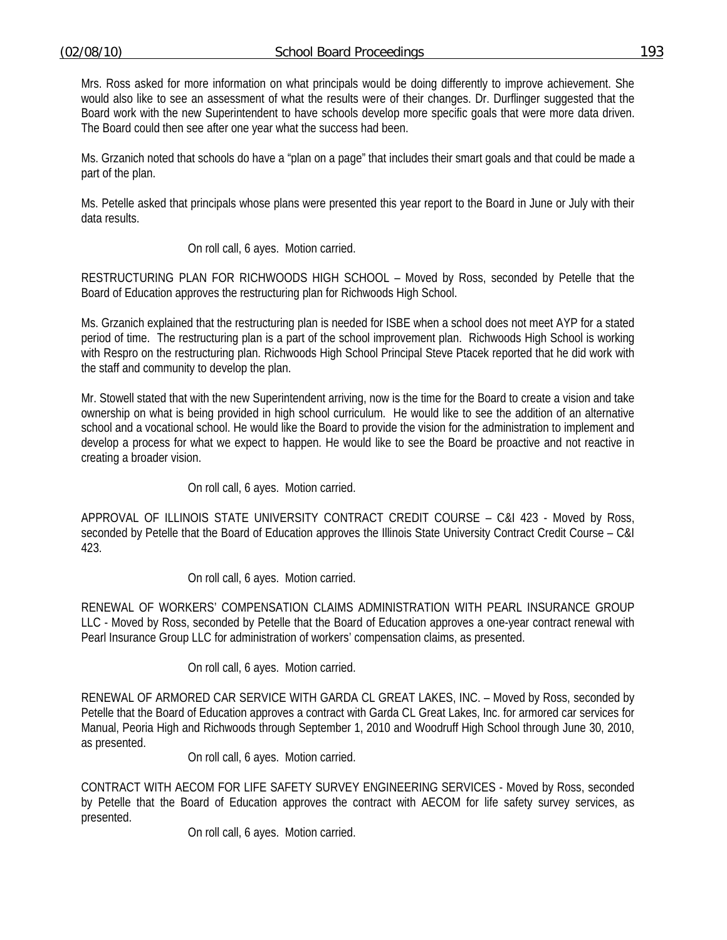Mrs. Ross asked for more information on what principals would be doing differently to improve achievement. She would also like to see an assessment of what the results were of their changes. Dr. Durflinger suggested that the Board work with the new Superintendent to have schools develop more specific goals that were more data driven. The Board could then see after one year what the success had been.

Ms. Grzanich noted that schools do have a "plan on a page" that includes their smart goals and that could be made a part of the plan.

Ms. Petelle asked that principals whose plans were presented this year report to the Board in June or July with their data results.

On roll call, 6 ayes. Motion carried.

RESTRUCTURING PLAN FOR RICHWOODS HIGH SCHOOL – Moved by Ross, seconded by Petelle that the Board of Education approves the restructuring plan for Richwoods High School.

Ms. Grzanich explained that the restructuring plan is needed for ISBE when a school does not meet AYP for a stated period of time. The restructuring plan is a part of the school improvement plan. Richwoods High School is working with Respro on the restructuring plan. Richwoods High School Principal Steve Ptacek reported that he did work with the staff and community to develop the plan.

Mr. Stowell stated that with the new Superintendent arriving, now is the time for the Board to create a vision and take ownership on what is being provided in high school curriculum. He would like to see the addition of an alternative school and a vocational school. He would like the Board to provide the vision for the administration to implement and develop a process for what we expect to happen. He would like to see the Board be proactive and not reactive in creating a broader vision.

On roll call, 6 ayes. Motion carried.

APPROVAL OF ILLINOIS STATE UNIVERSITY CONTRACT CREDIT COURSE – C&I 423 - Moved by Ross, seconded by Petelle that the Board of Education approves the Illinois State University Contract Credit Course – C&I 423.

On roll call, 6 ayes. Motion carried.

RENEWAL OF WORKERS' COMPENSATION CLAIMS ADMINISTRATION WITH PEARL INSURANCE GROUP LLC - Moved by Ross, seconded by Petelle that the Board of Education approves a one-year contract renewal with Pearl Insurance Group LLC for administration of workers' compensation claims, as presented.

On roll call, 6 ayes. Motion carried.

RENEWAL OF ARMORED CAR SERVICE WITH GARDA CL GREAT LAKES, INC. – Moved by Ross, seconded by Petelle that the Board of Education approves a contract with Garda CL Great Lakes, Inc. for armored car services for Manual, Peoria High and Richwoods through September 1, 2010 and Woodruff High School through June 30, 2010, as presented.

On roll call, 6 ayes. Motion carried.

CONTRACT WITH AECOM FOR LIFE SAFETY SURVEY ENGINEERING SERVICES - Moved by Ross, seconded by Petelle that the Board of Education approves the contract with AECOM for life safety survey services, as presented.

On roll call, 6 ayes. Motion carried.